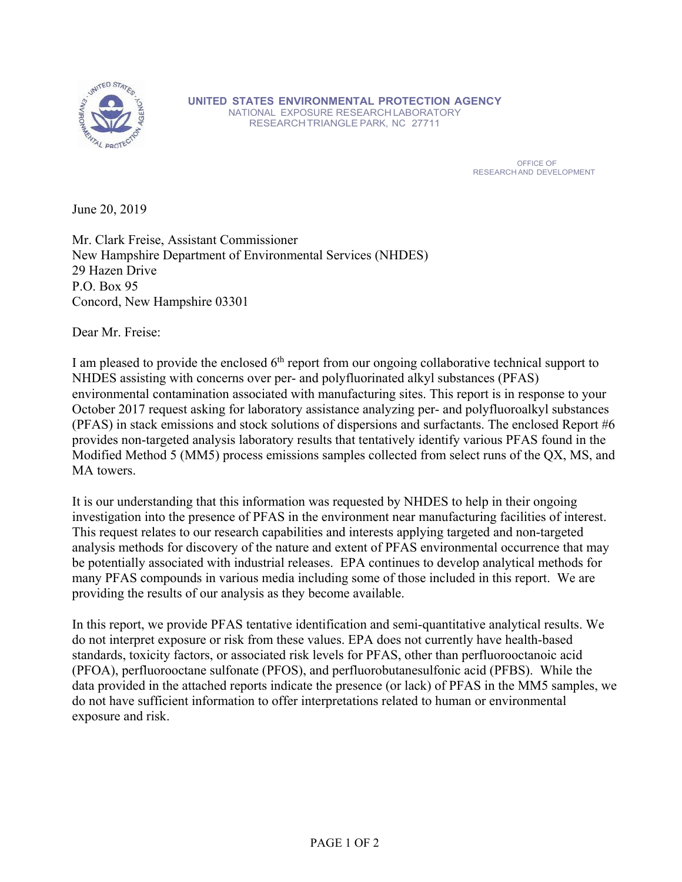

**UNITED STATES ENVIRONMENTAL PROTECTION AGENCY**  NATIONAL EXPOSURE RESEARCHLABORATORY RESEARCHTRIANGLE PARK, NC 27711

**OFFICE OF A STATE OF A STATE OF A STATE OF A STATE OF A STATE OF A STATE OF A STATE OF A STATE OF A STATE OF A** RESEARCH AND DEVELOPMENT

June 20, 2019

Mr. Clark Freise, Assistant Commissioner New Hampshire Department of Environmental Services (NHDES) 29 Hazen Drive P.O. Box 95 Concord, New Hampshire 03301

Dear Mr. Freise:

I am pleased to provide the enclosed  $6<sup>th</sup>$  report from our ongoing collaborative technical support to NHDES assisting with concerns over per- and polyfluorinated alkyl substances (PFAS) environmental contamination associated with manufacturing sites. This report is in response to your October 2017 request asking for laboratory assistance analyzing per- and polyfluoroalkyl substances (PFAS) in stack emissions and stock solutions of dispersions and surfactants. The enclosed Report #6 provides non-targeted analysis laboratory results that tentatively identify various PFAS found in the Modified Method 5 (MM5) process emissions samples collected from select runs of the QX, MS, and MA towers.

It is our understanding that this information was requested by NHDES to help in their ongoing investigation into the presence of PFAS in the environment near manufacturing facilities of interest. This request relates to our research capabilities and interests applying targeted and non-targeted analysis methods for discovery of the nature and extent of PFAS environmental occurrence that may be potentially associated with industrial releases. EPA continues to develop analytical methods for many PFAS compounds in various media including some of those included in this report. We are providing the results of our analysis as they become available.

In this report, we provide PFAS tentative identification and semi-quantitative analytical results. We do not interpret exposure or risk from these values. EPA does not currently have health-based standards, toxicity factors, or associated risk levels for PFAS, other than perfluorooctanoic acid (PFOA), perfluorooctane sulfonate (PFOS), and perfluorobutanesulfonic acid (PFBS). While the data provided in the attached reports indicate the presence (or lack) of PFAS in the MM5 samples, we do not have sufficient information to offer interpretations related to human or environmental exposure and risk.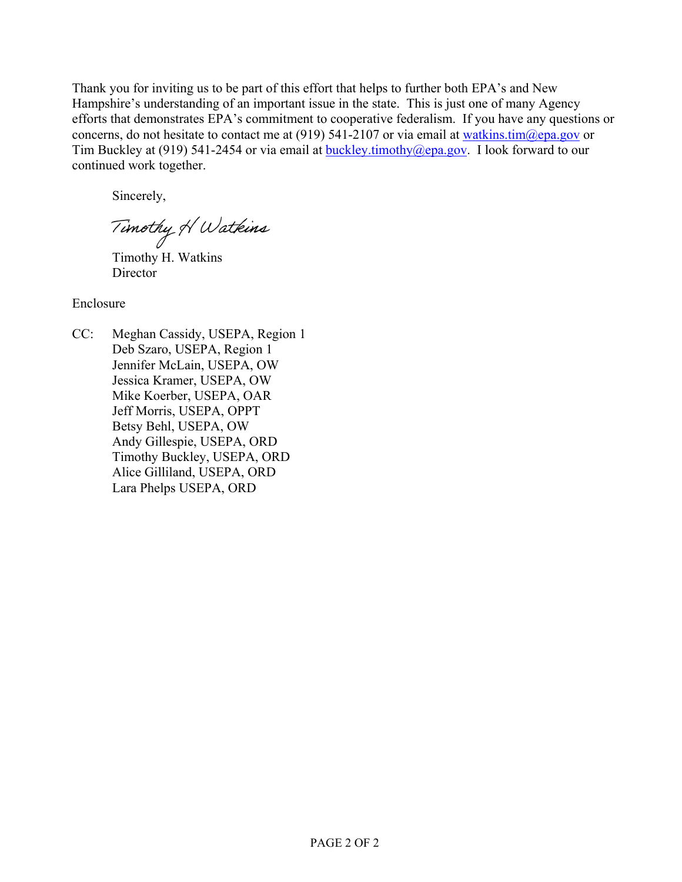Thank you for inviting us to be part of this effort that helps to further both EPA's and New Hampshire's understanding of an important issue in the state. This is just one of many Agency efforts that demonstrates EPA's commitment to cooperative federalism. If you have any questions or concerns, do not hesitate to contact me at (919) 541-2107 or via email at watkins.tim $@epa.gov$  or Tim Buckley at (919) 541-2454 or via email at buckley.timothy@epa.gov. I look forward to our continued work together.

Sincerely,

Timothy H Watkins

Timothy H. Watkins **Director** 

Enclosure

CC: Meghan Cassidy, USEPA, Region 1 Deb Szaro, USEPA, Region 1 Jennifer McLain, USEPA, OW Jessica Kramer, USEPA, OW Mike Koerber, USEPA, OAR Jeff Morris, USEPA, OPPT Betsy Behl, USEPA, OW Andy Gillespie, USEPA, ORD Timothy Buckley, USEPA, ORD Alice Gilliland, USEPA, ORD Lara Phelps USEPA, ORD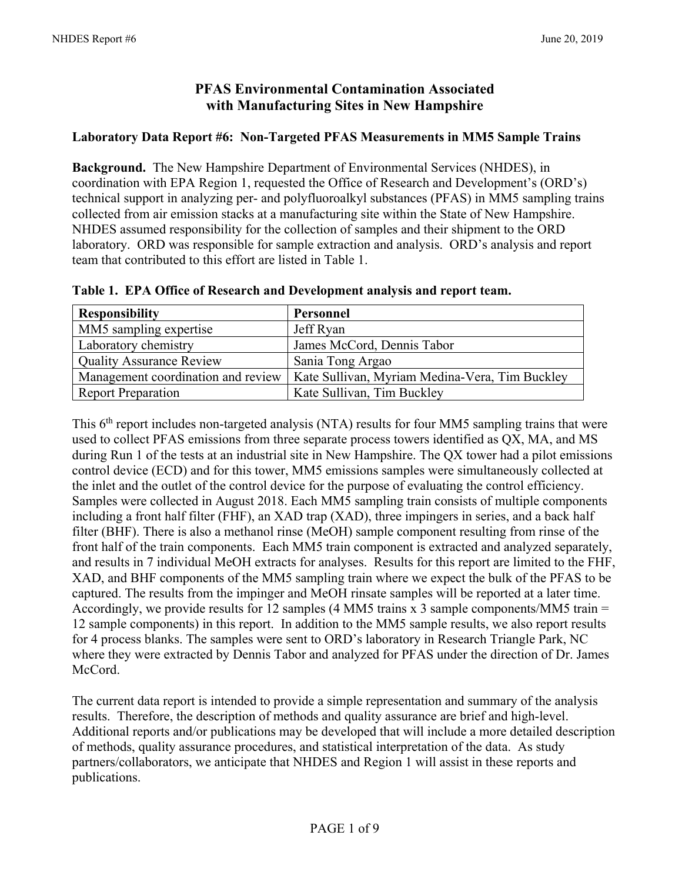# **PFAS Environmental Contamination Associated with Manufacturing Sites in New Hampshire**

### **Laboratory Data Report #6: Non-Targeted PFAS Measurements in MM5 Sample Trains**

**Background.** The New Hampshire Department of Environmental Services (NHDES), in coordination with EPA Region 1, requested the Office of Research and Development's (ORD's) technical support in analyzing per- and polyfluoroalkyl substances (PFAS) in MM5 sampling trains collected from air emission stacks at a manufacturing site within the State of New Hampshire. NHDES assumed responsibility for the collection of samples and their shipment to the ORD laboratory. ORD was responsible for sample extraction and analysis. ORD's analysis and report team that contributed to this effort are listed in Table 1.

| <b>Responsibility</b>              | Personnel                                      |
|------------------------------------|------------------------------------------------|
| MM5 sampling expertise             | Jeff Ryan                                      |
| Laboratory chemistry               | James McCord, Dennis Tabor                     |
| <b>Quality Assurance Review</b>    | Sania Tong Argao                               |
| Management coordination and review | Kate Sullivan, Myriam Medina-Vera, Tim Buckley |
| <b>Report Preparation</b>          | Kate Sullivan, Tim Buckley                     |

**Table 1. EPA Office of Research and Development analysis and report team.** 

This 6<sup>th</sup> report includes non-targeted analysis (NTA) results for four MM5 sampling trains that were used to collect PFAS emissions from three separate process towers identified as QX, MA, and MS during Run 1 of the tests at an industrial site in New Hampshire. The QX tower had a pilot emissions control device (ECD) and for this tower, MM5 emissions samples were simultaneously collected at the inlet and the outlet of the control device for the purpose of evaluating the control efficiency. Samples were collected in August 2018. Each MM5 sampling train consists of multiple components including a front half filter (FHF), an XAD trap (XAD), three impingers in series, and a back half filter (BHF). There is also a methanol rinse (MeOH) sample component resulting from rinse of the front half of the train components. Each MM5 train component is extracted and analyzed separately, and results in 7 individual MeOH extracts for analyses. Results for this report are limited to the FHF, XAD, and BHF components of the MM5 sampling train where we expect the bulk of the PFAS to be captured. The results from the impinger and MeOH rinsate samples will be reported at a later time. Accordingly, we provide results for 12 samples (4 MM5 trains x 3 sample components/MM5 train  $=$ 12 sample components) in this report. In addition to the MM5 sample results, we also report results for 4 process blanks. The samples were sent to ORD's laboratory in Research Triangle Park, NC where they were extracted by Dennis Tabor and analyzed for PFAS under the direction of Dr. James McCord.

The current data report is intended to provide a simple representation and summary of the analysis results. Therefore, the description of methods and quality assurance are brief and high-level. Additional reports and/or publications may be developed that will include a more detailed description of methods, quality assurance procedures, and statistical interpretation of the data. As study partners/collaborators, we anticipate that NHDES and Region 1 will assist in these reports and publications.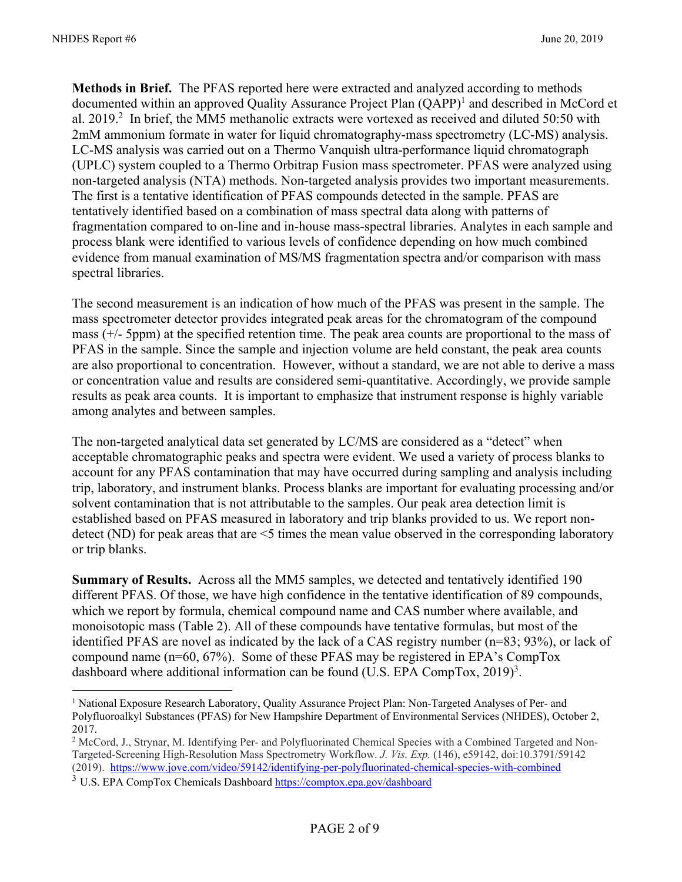$\overline{a}$ 

**Methods in Brief.** The PFAS reported here were extracted and analyzed according to methods documented within an approved Quality Assurance Project Plan (QAPP)<sup>1</sup> and described in McCord et al. 2019.<sup>2</sup> In brief, the MM5 methanolic extracts were vortexed as received and diluted 50:50 with 2mM ammonium formate in water for liquid chromatography-mass spectrometry (LC-MS) analysis. LC-MS analysis was carried out on a Thermo Vanquish ultra-performance liquid chromatograph (UPLC) system coupled to a Thermo Orbitrap Fusion mass spectrometer. PFAS were analyzed using non-targeted analysis (NTA) methods. Non-targeted analysis provides two important measurements. The first is a tentative identification of PFAS compounds detected in the sample. PFAS are tentatively identified based on a combination of mass spectral data along with patterns of fragmentation compared to on-line and in-house mass-spectral libraries. Analytes in each sample and process blank were identified to various levels of confidence depending on how much combined evidence from manual examination of MS/MS fragmentation spectra and/or comparison with mass spectral libraries.

The second measurement is an indication of how much of the PFAS was present in the sample. The mass spectrometer detector provides integrated peak areas for the chromatogram of the compound mass (+/- 5ppm) at the specified retention time. The peak area counts are proportional to the mass of PFAS in the sample. Since the sample and injection volume are held constant, the peak area counts are also proportional to concentration. However, without a standard, we are not able to derive a mass or concentration value and results are considered semi-quantitative. Accordingly, we provide sample results as peak area counts. It is important to emphasize that instrument response is highly variable among analytes and between samples.

The non-targeted analytical data set generated by LC/MS are considered as a "detect" when acceptable chromatographic peaks and spectra were evident. We used a variety of process blanks to account for any PFAS contamination that may have occurred during sampling and analysis including trip, laboratory, and instrument blanks. Process blanks are important for evaluating processing and/or solvent contamination that is not attributable to the samples. Our peak area detection limit is established based on PFAS measured in laboratory and trip blanks provided to us. We report nondetect (ND) for peak areas that are <5 times the mean value observed in the corresponding laboratory or trip blanks.

**Summary of Results.** Across all the MM5 samples, we detected and tentatively identified 190 different PFAS. Of those, we have high confidence in the tentative identification of 89 compounds, which we report by formula, chemical compound name and CAS number where available, and monoisotopic mass (Table 2). All of these compounds have tentative formulas, but most of the identified PFAS are novel as indicated by the lack of a CAS registry number (n=83; 93%), or lack of compound name (n=60, 67%). Some of these PFAS may be registered in EPA's CompTox dashboard where additional information can be found (U.S. EPA CompTox, 2019)<sup>3</sup>.

<sup>&</sup>lt;sup>1</sup> National Exposure Research Laboratory, Quality Assurance Project Plan: Non-Targeted Analyses of Per- and Polyfluoroalkyl Substances (PFAS) for New Hampshire Department of Environmental Services (NHDES), October 2, 2017.

<sup>&</sup>lt;sup>2</sup> McCord, J., Strynar, M. Identifying Per- and Polyfluorinated Chemical Species with a Combined Targeted and Non-Targeted-Screening High-Resolution Mass Spectrometry Workflow. *J. Vis. Exp.* (146), e59142, doi:10.3791/59142 (2019). https://www.jove.com/video/59142/identifying-per-polyfluorinated-chemical-species-with-combined

<sup>&</sup>lt;sup>3</sup> U.S. EPA CompTox Chemicals Dashboard https://comptox.epa.gov/dashboard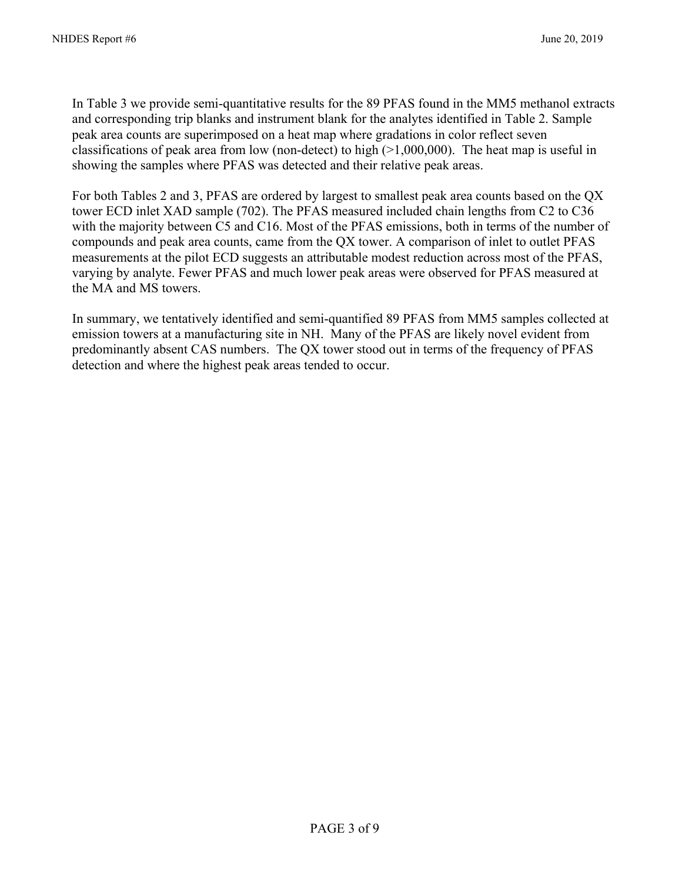In Table 3 we provide semi-quantitative results for the 89 PFAS found in the MM5 methanol extracts and corresponding trip blanks and instrument blank for the analytes identified in Table 2. Sample peak area counts are superimposed on a heat map where gradations in color reflect seven classifications of peak area from low (non-detect) to high  $(>1,000,000)$ . The heat map is useful in showing the samples where PFAS was detected and their relative peak areas.

For both Tables 2 and 3, PFAS are ordered by largest to smallest peak area counts based on the QX tower ECD inlet XAD sample (702). The PFAS measured included chain lengths from C2 to C36 with the majority between C5 and C16. Most of the PFAS emissions, both in terms of the number of compounds and peak area counts, came from the QX tower. A comparison of inlet to outlet PFAS measurements at the pilot ECD suggests an attributable modest reduction across most of the PFAS, varying by analyte. Fewer PFAS and much lower peak areas were observed for PFAS measured at the MA and MS towers.

In summary, we tentatively identified and semi-quantified 89 PFAS from MM5 samples collected at emission towers at a manufacturing site in NH. Many of the PFAS are likely novel evident from predominantly absent CAS numbers. The QX tower stood out in terms of the frequency of PFAS detection and where the highest peak areas tended to occur.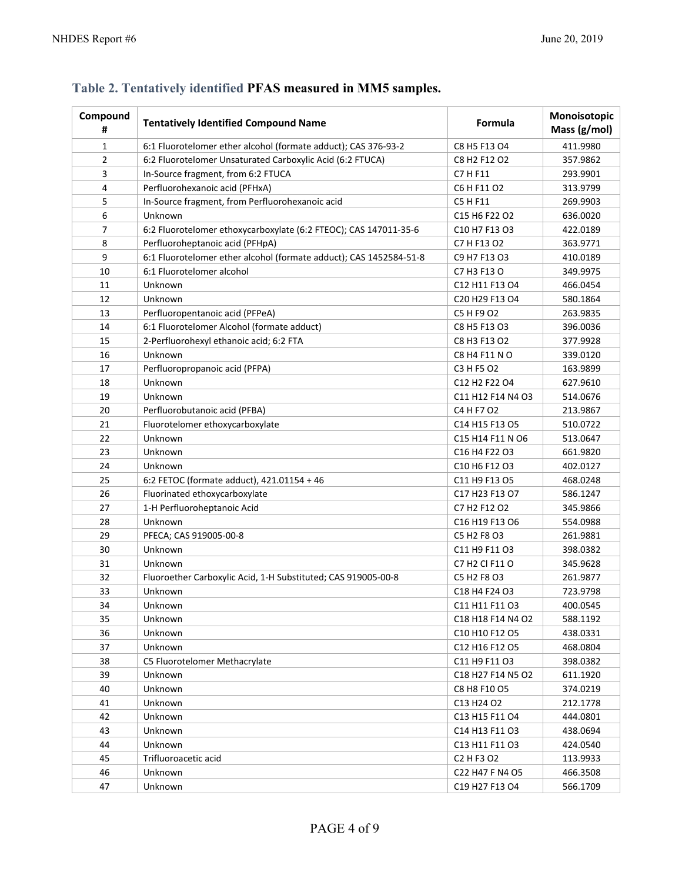| Compound<br>#  | <b>Tentatively Identified Compound Name</b>                        | Formula                                                                       | Monoisotopic<br>Mass (g/mol) |
|----------------|--------------------------------------------------------------------|-------------------------------------------------------------------------------|------------------------------|
| 1              | 6:1 Fluorotelomer ether alcohol (formate adduct); CAS 376-93-2     | C8 H5 F13 O4                                                                  | 411.9980                     |
| $\overline{2}$ | 6:2 Fluorotelomer Unsaturated Carboxylic Acid (6:2 FTUCA)          | C8 H2 F12 O2                                                                  | 357.9862                     |
| 3              | In-Source fragment, from 6:2 FTUCA                                 | C7 H F11                                                                      | 293.9901                     |
| 4              | Perfluorohexanoic acid (PFHxA)                                     | C6 H F11 O2                                                                   | 313.9799                     |
| 5              | In-Source fragment, from Perfluorohexanoic acid                    | C5 H F11                                                                      | 269.9903                     |
| 6              | Unknown                                                            | C15 H6 F22 O2                                                                 | 636.0020                     |
| 7              | 6:2 Fluorotelomer ethoxycarboxylate (6:2 FTEOC); CAS 147011-35-6   | C10 H7 F13 O3                                                                 | 422.0189                     |
| 8              | Perfluoroheptanoic acid (PFHpA)                                    | C7 H F13 O2                                                                   | 363.9771                     |
| 9              | 6:1 Fluorotelomer ether alcohol (formate adduct); CAS 1452584-51-8 | C9 H7 F13 O3                                                                  | 410.0189                     |
| 10             | 6:1 Fluorotelomer alcohol                                          | C7 H3 F13 O                                                                   | 349.9975                     |
| 11             | Unknown                                                            | C12 H11 F13 O4                                                                | 466.0454                     |
| 12             | Unknown                                                            | C20 H29 F13 O4                                                                | 580.1864                     |
| 13             | Perfluoropentanoic acid (PFPeA)                                    | C5 H F9 O2                                                                    | 263.9835                     |
| 14             | 6:1 Fluorotelomer Alcohol (formate adduct)                         | C8 H5 F13 O3                                                                  | 396.0036                     |
| 15             | 2-Perfluorohexyl ethanoic acid; 6:2 FTA                            | C8 H3 F13 O2                                                                  | 377.9928                     |
| 16             | Unknown                                                            | C8 H4 F11 N O                                                                 | 339.0120                     |
| 17             | Perfluoropropanoic acid (PFPA)                                     | C3 H F5 O2                                                                    | 163.9899                     |
| 18             | Unknown                                                            | C12 H2 F22 O4                                                                 | 627.9610                     |
| 19             | Unknown                                                            | C11 H12 F14 N4 O3                                                             | 514.0676                     |
| 20             | Perfluorobutanoic acid (PFBA)                                      | C4 H F7 O2                                                                    | 213.9867                     |
| 21             | Fluorotelomer ethoxycarboxylate                                    | C14 H15 F13 O5                                                                | 510.0722                     |
| 22             | Unknown                                                            | C15 H14 F11 N O6                                                              | 513.0647                     |
| 23             | Unknown                                                            | C <sub>16</sub> H <sub>4</sub> F <sub>22</sub> O <sub>3</sub>                 | 661.9820                     |
| 24             | Unknown                                                            | C10 H6 F12 O3                                                                 | 402.0127                     |
| 25             | 6:2 FETOC (formate adduct), 421.01154 + 46                         | C11 H9 F13 O5                                                                 | 468.0248                     |
| 26             | Fluorinated ethoxycarboxylate                                      | C17 H23 F13 O7                                                                | 586.1247                     |
| 27             | 1-H Perfluoroheptanoic Acid                                        | C7 H2 F12 O2                                                                  | 345.9866                     |
| 28             | Unknown                                                            | C16 H19 F13 O6                                                                | 554.0988                     |
| 29             | PFECA; CAS 919005-00-8                                             | C5 H2 F8 O3                                                                   | 261.9881                     |
| 30             | Unknown                                                            | C11 H9 F11 03                                                                 | 398.0382                     |
| 31             | Unknown                                                            | C7 H2 Cl F11 O                                                                | 345.9628                     |
| 32             | Fluoroether Carboxylic Acid, 1-H Substituted; CAS 919005-00-8      | C5 H2 F8 O3                                                                   | 261.9877                     |
| 33             | Unknown                                                            | C18 H4 F24 O3                                                                 | 723.9798                     |
| 34             | Unknown                                                            | C11 H11 F11 O3                                                                | 400.0545                     |
| 35             | Unknown                                                            | C18 H18 F14 N4 O2                                                             | 588.1192                     |
| 36             | Unknown                                                            | C <sub>10</sub> H <sub>10</sub> F <sub>12</sub> O <sub>5</sub>                | 438.0331                     |
| 37             | Unknown                                                            | C12 H16 F12 O5                                                                | 468.0804                     |
| 38             | C5 Fluorotelomer Methacrylate                                      | C11 H9 F11 O3                                                                 | 398.0382                     |
| 39             | Unknown                                                            | C <sub>18</sub> H <sub>27</sub> F <sub>14</sub> N <sub>5</sub> O <sub>2</sub> | 611.1920                     |
| 40             | Unknown                                                            | C8 H8 F10 O5                                                                  | 374.0219                     |
| 41             | Unknown                                                            | C13 H24 O2                                                                    | 212.1778                     |
| 42             | Unknown                                                            | C13 H15 F11 O4                                                                | 444.0801                     |
| 43             | Unknown                                                            | C14 H13 F11 O3                                                                | 438.0694                     |
| 44             | Unknown                                                            | C13 H11 F11 O3                                                                | 424.0540                     |
| 45             | Trifluoroacetic acid                                               | C <sub>2</sub> H <sub>F</sub> 3 O <sub>2</sub>                                | 113.9933                     |
| 46             | Unknown                                                            | C22 H47 F N4 O5                                                               | 466.3508                     |
| 47             | Unknown                                                            | C19 H27 F13 O4                                                                | 566.1709                     |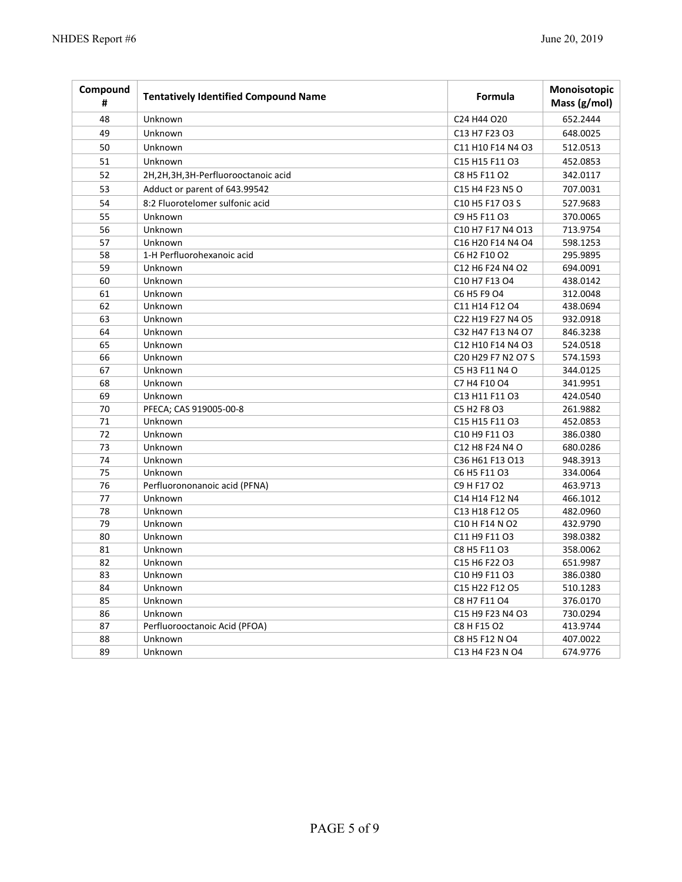| Compound<br># | <b>Tentatively Identified Compound Name</b> | Formula                                                                        | Monoisotopic<br>Mass (g/mol) |
|---------------|---------------------------------------------|--------------------------------------------------------------------------------|------------------------------|
| 48            | Unknown                                     | C24 H44 O20                                                                    | 652.2444                     |
| 49            | Unknown                                     | C13 H7 F23 O3                                                                  | 648.0025                     |
| 50            | Unknown                                     | C11 H10 F14 N4 O3                                                              | 512.0513                     |
| 51            | Unknown                                     | C15 H15 F11 O3                                                                 | 452.0853                     |
| 52            | 2H,2H,3H,3H-Perfluorooctanoic acid          | C8 H5 F11 O2                                                                   | 342.0117                     |
| 53            | Adduct or parent of 643.99542               | C15 H4 F23 N5 O                                                                | 707.0031                     |
| 54            | 8:2 Fluorotelomer sulfonic acid             | C <sub>10</sub> H <sub>5</sub> F <sub>17</sub> O <sub>3</sub> S                | 527.9683                     |
| 55            | Unknown                                     | C9 H5 F11 O3                                                                   | 370.0065                     |
| 56            | Unknown                                     | C10 H7 F17 N4 O13                                                              | 713.9754                     |
| 57            | Unknown                                     | C16 H20 F14 N4 O4                                                              | 598.1253                     |
| 58            | 1-H Perfluorohexanoic acid                  | C6 H2 F10 O2                                                                   | 295.9895                     |
| 59            | Unknown                                     | C12 H6 F24 N4 O2                                                               | 694.0091                     |
| 60            | Unknown                                     | C10 H7 F13 O4                                                                  | 438.0142                     |
| 61            | Unknown                                     | C6 H5 F9 O4                                                                    | 312.0048                     |
| 62            | Unknown                                     | C11 H14 F12 O4                                                                 | 438.0694                     |
| 63            | Unknown                                     | C22 H19 F27 N4 O5                                                              | 932.0918                     |
| 64            | Unknown                                     | C32 H47 F13 N4 O7                                                              | 846.3238                     |
| 65            | Unknown                                     | C12 H10 F14 N4 O3                                                              | 524.0518                     |
| 66            | Unknown                                     | C <sub>20</sub> H <sub>29</sub> F <sub>7</sub> N <sub>2</sub> O <sub>7</sub> S | 574.1593                     |
| 67            | Unknown                                     | C5 H3 F11 N4 O                                                                 | 344.0125                     |
| 68            | Unknown                                     | C7 H4 F10 O4                                                                   | 341.9951                     |
| 69            | Unknown                                     | C13 H11 F11 O3                                                                 | 424.0540                     |
| 70            | PFECA; CAS 919005-00-8                      | C5 H2 F8 O3                                                                    | 261.9882                     |
| 71            | Unknown                                     | C15 H15 F11 O3                                                                 | 452.0853                     |
| 72            | Unknown                                     | C10 H9 F11 O3                                                                  | 386.0380                     |
| 73            | Unknown                                     | C12 H8 F24 N4 O                                                                | 680.0286                     |
| 74            | Unknown                                     | C36 H61 F13 O13                                                                | 948.3913                     |
| 75            | Unknown                                     | C6 H5 F11 O3                                                                   | 334.0064                     |
| 76            | Perfluorononanoic acid (PFNA)               | C9 H F17 O2                                                                    | 463.9713                     |
| 77            | Unknown                                     | C14 H14 F12 N4                                                                 | 466.1012                     |
| 78            | Unknown                                     | C13 H18 F12 O5                                                                 | 482.0960                     |
| 79            | Unknown                                     | C10 H F14 N O2                                                                 | 432.9790                     |
| 80            | Unknown                                     | C11 H9 F11 O3                                                                  | 398.0382                     |
| 81            | Unknown                                     | C8 H5 F11 O3                                                                   | 358.0062                     |
| 82            | Unknown                                     | C15 H6 F22 O3                                                                  | 651.9987                     |
| 83            | Unknown                                     | C10 H9 F11 O3                                                                  | 386.0380                     |
| 84            | Unknown                                     | C15 H22 F12 O5                                                                 | 510.1283                     |
| 85            | Unknown                                     | C8 H7 F11 O4                                                                   | 376.0170                     |
| 86            | Unknown                                     | C15 H9 F23 N4 O3                                                               | 730.0294                     |
| 87            | Perfluorooctanoic Acid (PFOA)               | C8 H F15 O2                                                                    | 413.9744                     |
| 88            | Unknown                                     | C8 H5 F12 N O4                                                                 | 407.0022                     |
| 89            | Unknown                                     | C <sub>13</sub> H <sub>4</sub> F <sub>23</sub> N <sub>O4</sub>                 | 674.9776                     |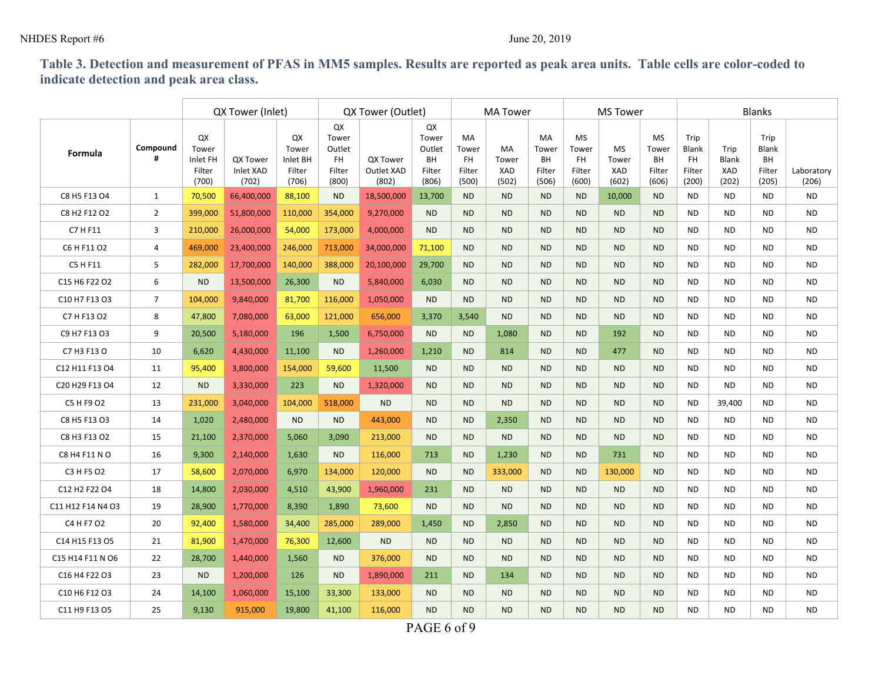### NHDES Report #6 June 20, 2019

## **Table 3. Detection and measurement of PFAS in MM5 samples. Results are reported as peak area units. Table cells are color-coded to indicate detection and peak area class.**

|                   |                | QX Tower (Inlet)                           |                                |                                            | QX Tower (Outlet)                              |                                 |                                                | <b>MA Tower</b>                             |                             |                                      | <b>MS Tower</b>                              |                                    |                                             | <b>Blanks</b>                           |                               |                                        |                     |  |
|-------------------|----------------|--------------------------------------------|--------------------------------|--------------------------------------------|------------------------------------------------|---------------------------------|------------------------------------------------|---------------------------------------------|-----------------------------|--------------------------------------|----------------------------------------------|------------------------------------|---------------------------------------------|-----------------------------------------|-------------------------------|----------------------------------------|---------------------|--|
| Formula           | Compound       | QX<br>Tower<br>Inlet FH<br>Filter<br>(700) | QX Tower<br>Inlet XAD<br>(702) | QX<br>Tower<br>Inlet BH<br>Filter<br>(706) | QX<br>Tower<br>Outlet<br>FH<br>Filter<br>(800) | QX Tower<br>Outlet XAD<br>(802) | QX<br>Tower<br>Outlet<br>BH<br>Filter<br>(806) | MA<br>Tower<br><b>FH</b><br>Filter<br>(500) | MA<br>Tower<br>XAD<br>(502) | MA<br>Tower<br>BH<br>Filter<br>(506) | <b>MS</b><br>Tower<br>FH.<br>Filter<br>(600) | <b>MS</b><br>Tower<br>XAD<br>(602) | <b>MS</b><br>Tower<br>BH<br>Filter<br>(606) | Trip<br>Blank<br>FH.<br>Filter<br>(200) | Trip<br>Blank<br>XAD<br>(202) | Trip<br>Blank<br>BH<br>Filter<br>(205) | Laboratory<br>(206) |  |
| C8 H5 F13 O4      | 1              | 70,500                                     | 66,400,000                     | 88,100                                     | <b>ND</b>                                      | 18,500,000                      | 13,700                                         | <b>ND</b>                                   | <b>ND</b>                   | <b>ND</b>                            | <b>ND</b>                                    | 10,000                             | <b>ND</b>                                   | <b>ND</b>                               | <b>ND</b>                     | ND.                                    | <b>ND</b>           |  |
| C8 H2 F12 O2      | $\overline{2}$ | 399,000                                    | 51,800,000                     | 110,000                                    | 354,000                                        | 9,270,000                       | <b>ND</b>                                      | <b>ND</b>                                   | <b>ND</b>                   | <b>ND</b>                            | <b>ND</b>                                    | <b>ND</b>                          | <b>ND</b>                                   | <b>ND</b>                               | <b>ND</b>                     | <b>ND</b>                              | <b>ND</b>           |  |
| C7 H F11          | 3              | 210,000                                    | 26,000,000                     | 54,000                                     | 173,000                                        | 4,000,000                       | <b>ND</b>                                      | <b>ND</b>                                   | <b>ND</b>                   | <b>ND</b>                            | <b>ND</b>                                    | <b>ND</b>                          | <b>ND</b>                                   | <b>ND</b>                               | <b>ND</b>                     | <b>ND</b>                              | <b>ND</b>           |  |
| C6 H F11 O2       | 4              | 469,000                                    | 23,400,000                     | 246,000                                    | 713,000                                        | 34,000,000                      | 71,100                                         | <b>ND</b>                                   | <b>ND</b>                   | <b>ND</b>                            | <b>ND</b>                                    | <b>ND</b>                          | <b>ND</b>                                   | <b>ND</b>                               | <b>ND</b>                     | <b>ND</b>                              | <b>ND</b>           |  |
| C5 H F11          | 5              | 282,000                                    | 17,700,000                     | 140,000                                    | 388,000                                        | 20,100,000                      | 29,700                                         | <b>ND</b>                                   | <b>ND</b>                   | <b>ND</b>                            | <b>ND</b>                                    | <b>ND</b>                          | <b>ND</b>                                   | <b>ND</b>                               | <b>ND</b>                     | <b>ND</b>                              | <b>ND</b>           |  |
| C15 H6 F22 O2     | 6              | <b>ND</b>                                  | 13,500,000                     | 26,300                                     | <b>ND</b>                                      | 5,840,000                       | 6,030                                          | <b>ND</b>                                   | N <sub>D</sub>              | <b>ND</b>                            | <b>ND</b>                                    | N <sub>D</sub>                     | <b>ND</b>                                   | <b>ND</b>                               | <b>ND</b>                     | <b>ND</b>                              | <b>ND</b>           |  |
| C10 H7 F13 O3     | $\overline{7}$ | 104,000                                    | 9,840,000                      | 81,700                                     | 116,000                                        | 1,050,000                       | <b>ND</b>                                      | <b>ND</b>                                   | <b>ND</b>                   | <b>ND</b>                            | <b>ND</b>                                    | <b>ND</b>                          | <b>ND</b>                                   | <b>ND</b>                               | <b>ND</b>                     | <b>ND</b>                              | <b>ND</b>           |  |
| C7 H F13 O2       | 8              | 47,800                                     | 7,080,000                      | 63,000                                     | 121,000                                        | 656,000                         | 3,370                                          | 3,540                                       | <b>ND</b>                   | <b>ND</b>                            | <b>ND</b>                                    | <b>ND</b>                          | <b>ND</b>                                   | <b>ND</b>                               | <b>ND</b>                     | <b>ND</b>                              | <b>ND</b>           |  |
| C9 H7 F13 O3      | 9              | 20,500                                     | 5,180,000                      | 196                                        | 1,500                                          | 6,750,000                       | <b>ND</b>                                      | <b>ND</b>                                   | 1,080                       | <b>ND</b>                            | <b>ND</b>                                    | 192                                | <b>ND</b>                                   | <b>ND</b>                               | <b>ND</b>                     | <b>ND</b>                              | <b>ND</b>           |  |
| C7 H3 F13 O       | 10             | 6,620                                      | 4,430,000                      | 11,100                                     | <b>ND</b>                                      | 1,260,000                       | 1,210                                          | <b>ND</b>                                   | 814                         | <b>ND</b>                            | <b>ND</b>                                    | 477                                | <b>ND</b>                                   | <b>ND</b>                               | <b>ND</b>                     | <b>ND</b>                              | <b>ND</b>           |  |
| C12 H11 F13 O4    | 11             | 95,400                                     | 3,800,000                      | 154,000                                    | 59,600                                         | 11,500                          | <b>ND</b>                                      | <b>ND</b>                                   | <b>ND</b>                   | <b>ND</b>                            | <b>ND</b>                                    | <b>ND</b>                          | <b>ND</b>                                   | <b>ND</b>                               | <b>ND</b>                     | <b>ND</b>                              | <b>ND</b>           |  |
| C20 H29 F13 O4    | 12             | <b>ND</b>                                  | 3,330,000                      | 223                                        | <b>ND</b>                                      | 1,320,000                       | <b>ND</b>                                      | <b>ND</b>                                   | <b>ND</b>                   | <b>ND</b>                            | <b>ND</b>                                    | <b>ND</b>                          | <b>ND</b>                                   | <b>ND</b>                               | <b>ND</b>                     | <b>ND</b>                              | <b>ND</b>           |  |
| C5 H F9 O2        | 13             | 231,000                                    | 3,040,000                      | 104,000                                    | 518,000                                        | <b>ND</b>                       | <b>ND</b>                                      | <b>ND</b>                                   | <b>ND</b>                   | <b>ND</b>                            | <b>ND</b>                                    | <b>ND</b>                          | <b>ND</b>                                   | <b>ND</b>                               | 39,400                        | <b>ND</b>                              | <b>ND</b>           |  |
| C8 H5 F13 O3      | 14             | 1,020                                      | 2,480,000                      | <b>ND</b>                                  | <b>ND</b>                                      | 443,000                         | <b>ND</b>                                      | <b>ND</b>                                   | 2,350                       | <b>ND</b>                            | <b>ND</b>                                    | <b>ND</b>                          | <b>ND</b>                                   | <b>ND</b>                               | <b>ND</b>                     | <b>ND</b>                              | <b>ND</b>           |  |
| C8 H3 F13 O2      | 15             | 21,100                                     | 2,370,000                      | 5,060                                      | 3,090                                          | 213,000                         | <b>ND</b>                                      | <b>ND</b>                                   | N <sub>D</sub>              | <b>ND</b>                            | <b>ND</b>                                    | <b>ND</b>                          | <b>ND</b>                                   | <b>ND</b>                               | <b>ND</b>                     | <b>ND</b>                              | <b>ND</b>           |  |
| C8 H4 F11 N O     | 16             | 9,300                                      | 2,140,000                      | 1,630                                      | <b>ND</b>                                      | 116,000                         | 713                                            | <b>ND</b>                                   | 1,230                       | <b>ND</b>                            | <b>ND</b>                                    | 731                                | <b>ND</b>                                   | <b>ND</b>                               | <b>ND</b>                     | <b>ND</b>                              | <b>ND</b>           |  |
| C3 H F5 O2        | 17             | 58,600                                     | 2,070,000                      | 6,970                                      | 134,000                                        | 120,000                         | <b>ND</b>                                      | <b>ND</b>                                   | 333,000                     | <b>ND</b>                            | <b>ND</b>                                    | 130,000                            | <b>ND</b>                                   | <b>ND</b>                               | <b>ND</b>                     | <b>ND</b>                              | <b>ND</b>           |  |
| C12 H2 F22 O4     | 18             | 14,800                                     | 2,030,000                      | 4,510                                      | 43,900                                         | 1,960,000                       | 231                                            | <b>ND</b>                                   | <b>ND</b>                   | <b>ND</b>                            | <b>ND</b>                                    | <b>ND</b>                          | <b>ND</b>                                   | <b>ND</b>                               | <b>ND</b>                     | <b>ND</b>                              | <b>ND</b>           |  |
| C11 H12 F14 N4 O3 | 19             | 28,900                                     | 1,770,000                      | 8,390                                      | 1,890                                          | 73,600                          | <b>ND</b>                                      | <b>ND</b>                                   | N <sub>D</sub>              | <b>ND</b>                            | <b>ND</b>                                    | <b>ND</b>                          | <b>ND</b>                                   | <b>ND</b>                               | <b>ND</b>                     | <b>ND</b>                              | <b>ND</b>           |  |
| C4 H F7 02        | 20             | 92,400                                     | 1,580,000                      | 34,400                                     | 285,000                                        | 289,000                         | 1,450                                          | <b>ND</b>                                   | 2,850                       | <b>ND</b>                            | <b>ND</b>                                    | <b>ND</b>                          | <b>ND</b>                                   | <b>ND</b>                               | <b>ND</b>                     | <b>ND</b>                              | <b>ND</b>           |  |
| C14 H15 F13 O5    | 21             | 81,900                                     | 1,470,000                      | 76,300                                     | 12,600                                         | <b>ND</b>                       | <b>ND</b>                                      | <b>ND</b>                                   | N <sub>D</sub>              | <b>ND</b>                            | <b>ND</b>                                    | <b>ND</b>                          | <b>ND</b>                                   | <b>ND</b>                               | <b>ND</b>                     | <b>ND</b>                              | <b>ND</b>           |  |
| C15 H14 F11 N O6  | 22             | 28,700                                     | 1,440,000                      | 1,560                                      | <b>ND</b>                                      | 376,000                         | <b>ND</b>                                      | <b>ND</b>                                   | <b>ND</b>                   | <b>ND</b>                            | <b>ND</b>                                    | <b>ND</b>                          | <b>ND</b>                                   | <b>ND</b>                               | <b>ND</b>                     | <b>ND</b>                              | <b>ND</b>           |  |
| C16 H4 F22 O3     | 23             | <b>ND</b>                                  | 1,200,000                      | 126                                        | <b>ND</b>                                      | 1,890,000                       | 211                                            | <b>ND</b>                                   | 134                         | <b>ND</b>                            | <b>ND</b>                                    | <b>ND</b>                          | <b>ND</b>                                   | <b>ND</b>                               | <b>ND</b>                     | <b>ND</b>                              | <b>ND</b>           |  |
| C10 H6 F12 O3     | 24             | 14,100                                     | 1,060,000                      | 15,100                                     | 33,300                                         | 133,000                         | N <sub>D</sub>                                 | <b>ND</b>                                   | <b>ND</b>                   | <b>ND</b>                            | <b>ND</b>                                    | <b>ND</b>                          | <b>ND</b>                                   | <b>ND</b>                               | <b>ND</b>                     | <b>ND</b>                              | ND.                 |  |
| C11 H9 F13 O5     | 25             | 9,130                                      | 915,000                        | 19,800                                     | 41,100                                         | 116,000                         | <b>ND</b>                                      | <b>ND</b>                                   | <b>ND</b>                   | <b>ND</b>                            | <b>ND</b>                                    | <b>ND</b>                          | <b>ND</b>                                   | <b>ND</b>                               | <b>ND</b>                     | <b>ND</b>                              | <b>ND</b>           |  |

PAGE 6 of 9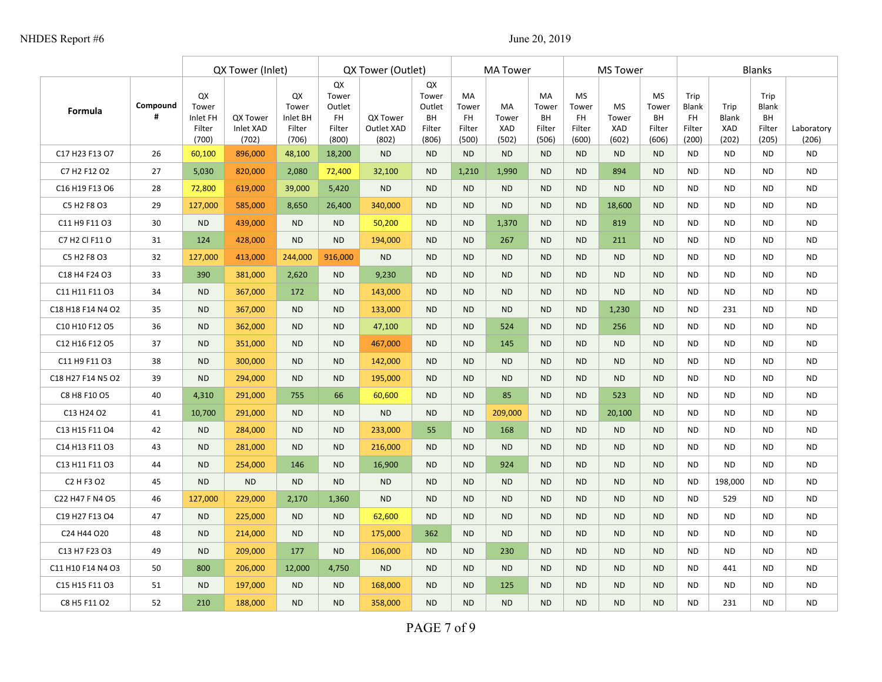|                                                |               |                                            | QX Tower (Inlet)                      |                                            | QX Tower (Outlet)                                     |                                 |                                                       | <b>MA Tower</b>                             |                                    |                                             | <b>MS Tower</b>                                    |                                    |                                                    | <b>Blanks</b>                                 |                                      |                                               |                     |
|------------------------------------------------|---------------|--------------------------------------------|---------------------------------------|--------------------------------------------|-------------------------------------------------------|---------------------------------|-------------------------------------------------------|---------------------------------------------|------------------------------------|---------------------------------------------|----------------------------------------------------|------------------------------------|----------------------------------------------------|-----------------------------------------------|--------------------------------------|-----------------------------------------------|---------------------|
| Formula                                        | Compound<br># | QX<br>Tower<br>Inlet FH<br>Filter<br>(700) | <b>QX Tower</b><br>Inlet XAD<br>(702) | QX<br>Tower<br>Inlet BH<br>Filter<br>(706) | QX<br>Tower<br>Outlet<br><b>FH</b><br>Filter<br>(800) | QX Tower<br>Outlet XAD<br>(802) | QX<br>Tower<br>Outlet<br><b>BH</b><br>Filter<br>(806) | MA<br>Tower<br><b>FH</b><br>Filter<br>(500) | <b>MA</b><br>Tower<br>XAD<br>(502) | MA<br>Tower<br><b>BH</b><br>Filter<br>(506) | <b>MS</b><br>Tower<br><b>FH</b><br>Filter<br>(600) | <b>MS</b><br>Tower<br>XAD<br>(602) | <b>MS</b><br>Tower<br><b>BH</b><br>Filter<br>(606) | Trip<br>Blank<br><b>FH</b><br>Filter<br>(200) | Trip<br><b>Blank</b><br>XAD<br>(202) | Trip<br>Blank<br><b>BH</b><br>Filter<br>(205) | Laboratory<br>(206) |
| C17 H23 F13 O7                                 | 26            | 60,100                                     | 896,000                               | 48,100                                     | 18,200                                                | <b>ND</b>                       | <b>ND</b>                                             | <b>ND</b>                                   | <b>ND</b>                          | <b>ND</b>                                   | <b>ND</b>                                          | <b>ND</b>                          | <b>ND</b>                                          | <b>ND</b>                                     | <b>ND</b>                            | <b>ND</b>                                     | <b>ND</b>           |
| C7 H2 F12 O2                                   | 27            | 5,030                                      | 820,000                               | 2,080                                      | 72,400                                                | 32,100                          | <b>ND</b>                                             | 1,210                                       | 1,990                              | <b>ND</b>                                   | <b>ND</b>                                          | 894                                | <b>ND</b>                                          | <b>ND</b>                                     | <b>ND</b>                            | <b>ND</b>                                     | <b>ND</b>           |
| C16 H19 F13 O6                                 | 28            | 72,800                                     | 619,000                               | 39,000                                     | 5,420                                                 | <b>ND</b>                       | <b>ND</b>                                             | <b>ND</b>                                   | <b>ND</b>                          | <b>ND</b>                                   | <b>ND</b>                                          | <b>ND</b>                          | <b>ND</b>                                          | <b>ND</b>                                     | <b>ND</b>                            | <b>ND</b>                                     | <b>ND</b>           |
| C5 H2 F8 O3                                    | 29            | 127,000                                    | 585,000                               | 8,650                                      | 26,400                                                | 340,000                         | <b>ND</b>                                             | <b>ND</b>                                   | <b>ND</b>                          | <b>ND</b>                                   | <b>ND</b>                                          | 18,600                             | <b>ND</b>                                          | <b>ND</b>                                     | <b>ND</b>                            | <b>ND</b>                                     | <b>ND</b>           |
| C11 H9 F11 O3                                  | 30            | <b>ND</b>                                  | 439,000                               | <b>ND</b>                                  | <b>ND</b>                                             | 50,200                          | <b>ND</b>                                             | <b>ND</b>                                   | 1,370                              | <b>ND</b>                                   | <b>ND</b>                                          | 819                                | <b>ND</b>                                          | <b>ND</b>                                     | <b>ND</b>                            | <b>ND</b>                                     | <b>ND</b>           |
| C7 H2 Cl F11 O                                 | 31            | 124                                        | 428,000                               | <b>ND</b>                                  | <b>ND</b>                                             | 194,000                         | <b>ND</b>                                             | <b>ND</b>                                   | 267                                | <b>ND</b>                                   | <b>ND</b>                                          | 211                                | <b>ND</b>                                          | <b>ND</b>                                     | <b>ND</b>                            | <b>ND</b>                                     | <b>ND</b>           |
| C5 H2 F8 O3                                    | 32            | 127,000                                    | 413,000                               | 244,000                                    | 916,000                                               | <b>ND</b>                       | <b>ND</b>                                             | <b>ND</b>                                   | <b>ND</b>                          | <b>ND</b>                                   | <b>ND</b>                                          | <b>ND</b>                          | <b>ND</b>                                          | <b>ND</b>                                     | <b>ND</b>                            | <b>ND</b>                                     | <b>ND</b>           |
| C18 H4 F24 O3                                  | 33            | 390                                        | 381,000                               | 2,620                                      | <b>ND</b>                                             | 9,230                           | <b>ND</b>                                             | <b>ND</b>                                   | <b>ND</b>                          | <b>ND</b>                                   | <b>ND</b>                                          | <b>ND</b>                          | <b>ND</b>                                          | <b>ND</b>                                     | <b>ND</b>                            | <b>ND</b>                                     | <b>ND</b>           |
| C11 H11 F11 O3                                 | 34            | <b>ND</b>                                  | 367,000                               | 172                                        | <b>ND</b>                                             | 143,000                         | <b>ND</b>                                             | <b>ND</b>                                   | <b>ND</b>                          | <b>ND</b>                                   | <b>ND</b>                                          | <b>ND</b>                          | <b>ND</b>                                          | <b>ND</b>                                     | <b>ND</b>                            | <b>ND</b>                                     | <b>ND</b>           |
| C18 H18 F14 N4 O2                              | 35            | <b>ND</b>                                  | 367,000                               | <b>ND</b>                                  | <b>ND</b>                                             | 133,000                         | <b>ND</b>                                             | <b>ND</b>                                   | <b>ND</b>                          | <b>ND</b>                                   | <b>ND</b>                                          | 1,230                              | <b>ND</b>                                          | <b>ND</b>                                     | 231                                  | <b>ND</b>                                     | <b>ND</b>           |
| C10 H10 F12 O5                                 | 36            | <b>ND</b>                                  | 362,000                               | <b>ND</b>                                  | <b>ND</b>                                             | 47,100                          | <b>ND</b>                                             | <b>ND</b>                                   | 524                                | <b>ND</b>                                   | <b>ND</b>                                          | 256                                | <b>ND</b>                                          | <b>ND</b>                                     | <b>ND</b>                            | <b>ND</b>                                     | <b>ND</b>           |
| C12 H16 F12 O5                                 | 37            | <b>ND</b>                                  | 351,000                               | <b>ND</b>                                  | <b>ND</b>                                             | 467,000                         | <b>ND</b>                                             | <b>ND</b>                                   | 145                                | <b>ND</b>                                   | <b>ND</b>                                          | <b>ND</b>                          | <b>ND</b>                                          | <b>ND</b>                                     | <b>ND</b>                            | <b>ND</b>                                     | <b>ND</b>           |
| C11 H9 F11 O3                                  | 38            | <b>ND</b>                                  | 300,000                               | <b>ND</b>                                  | <b>ND</b>                                             | 142,000                         | <b>ND</b>                                             | <b>ND</b>                                   | <b>ND</b>                          | <b>ND</b>                                   | <b>ND</b>                                          | <b>ND</b>                          | <b>ND</b>                                          | <b>ND</b>                                     | <b>ND</b>                            | <b>ND</b>                                     | <b>ND</b>           |
| C18 H27 F14 N5 O2                              | 39            | <b>ND</b>                                  | 294,000                               | <b>ND</b>                                  | <b>ND</b>                                             | 195,000                         | <b>ND</b>                                             | <b>ND</b>                                   | <b>ND</b>                          | <b>ND</b>                                   | <b>ND</b>                                          | <b>ND</b>                          | <b>ND</b>                                          | N <sub>D</sub>                                | <b>ND</b>                            | <b>ND</b>                                     | <b>ND</b>           |
| C8 H8 F10 O5                                   | 40            | 4,310                                      | 291,000                               | 755                                        | 66                                                    | 60,600                          | <b>ND</b>                                             | <b>ND</b>                                   | 85                                 | <b>ND</b>                                   | <b>ND</b>                                          | 523                                | <b>ND</b>                                          | <b>ND</b>                                     | <b>ND</b>                            | <b>ND</b>                                     | <b>ND</b>           |
| C13 H24 O2                                     | 41            | 10,700                                     | 291,000                               | <b>ND</b>                                  | <b>ND</b>                                             | <b>ND</b>                       | <b>ND</b>                                             | <b>ND</b>                                   | 209,000                            | <b>ND</b>                                   | <b>ND</b>                                          | 20,100                             | <b>ND</b>                                          | <b>ND</b>                                     | <b>ND</b>                            | <b>ND</b>                                     | <b>ND</b>           |
| C13 H15 F11 O4                                 | 42            | <b>ND</b>                                  | 284,000                               | <b>ND</b>                                  | <b>ND</b>                                             | 233,000                         | 55                                                    | <b>ND</b>                                   | 168                                | <b>ND</b>                                   | <b>ND</b>                                          | <b>ND</b>                          | <b>ND</b>                                          | <b>ND</b>                                     | <b>ND</b>                            | <b>ND</b>                                     | <b>ND</b>           |
| C14 H13 F11 O3                                 | 43            | <b>ND</b>                                  | 281,000                               | <b>ND</b>                                  | <b>ND</b>                                             | 216,000                         | <b>ND</b>                                             | <b>ND</b>                                   | <b>ND</b>                          | <b>ND</b>                                   | <b>ND</b>                                          | <b>ND</b>                          | <b>ND</b>                                          | N <sub>D</sub>                                | <b>ND</b>                            | <b>ND</b>                                     | <b>ND</b>           |
| C13 H11 F11 O3                                 | 44            | <b>ND</b>                                  | 254,000                               | 146                                        | <b>ND</b>                                             | 16,900                          | <b>ND</b>                                             | <b>ND</b>                                   | 924                                | <b>ND</b>                                   | <b>ND</b>                                          | <b>ND</b>                          | <b>ND</b>                                          | <b>ND</b>                                     | <b>ND</b>                            | <b>ND</b>                                     | <b>ND</b>           |
| C <sub>2</sub> H F <sub>3</sub> O <sub>2</sub> | 45            | <b>ND</b>                                  | <b>ND</b>                             | <b>ND</b>                                  | <b>ND</b>                                             | <b>ND</b>                       | <b>ND</b>                                             | <b>ND</b>                                   | <b>ND</b>                          | <b>ND</b>                                   | <b>ND</b>                                          | <b>ND</b>                          | <b>ND</b>                                          | <b>ND</b>                                     | 198,000                              | <b>ND</b>                                     | <b>ND</b>           |
| C22 H47 F N4 O5                                | 46            | 127,000                                    | 229,000                               | 2,170                                      | 1,360                                                 | <b>ND</b>                       | <b>ND</b>                                             | <b>ND</b>                                   | <b>ND</b>                          | <b>ND</b>                                   | <b>ND</b>                                          | <b>ND</b>                          | <b>ND</b>                                          | <b>ND</b>                                     | 529                                  | <b>ND</b>                                     | <b>ND</b>           |
| C19 H27 F13 O4                                 | 47            | <b>ND</b>                                  | 225,000                               | <b>ND</b>                                  | <b>ND</b>                                             | 62,600                          | <b>ND</b>                                             | <b>ND</b>                                   | <b>ND</b>                          | <b>ND</b>                                   | <b>ND</b>                                          | <b>ND</b>                          | <b>ND</b>                                          | <b>ND</b>                                     | <b>ND</b>                            | <b>ND</b>                                     | <b>ND</b>           |
| C24 H44 O20                                    | 48            | <b>ND</b>                                  | 214,000                               | <b>ND</b>                                  | <b>ND</b>                                             | 175,000                         | 362                                                   | <b>ND</b>                                   | <b>ND</b>                          | <b>ND</b>                                   | <b>ND</b>                                          | <b>ND</b>                          | <b>ND</b>                                          | <b>ND</b>                                     | <b>ND</b>                            | <b>ND</b>                                     | <b>ND</b>           |
| C13 H7 F23 O3                                  | 49            | <b>ND</b>                                  | 209,000                               | 177                                        | <b>ND</b>                                             | 106,000                         | <b>ND</b>                                             | <b>ND</b>                                   | 230                                | <b>ND</b>                                   | <b>ND</b>                                          | <b>ND</b>                          | <b>ND</b>                                          | <b>ND</b>                                     | <b>ND</b>                            | <b>ND</b>                                     | <b>ND</b>           |
| C11 H10 F14 N4 O3                              | 50            | 800                                        | 206,000                               | 12,000                                     | 4,750                                                 | <b>ND</b>                       | <b>ND</b>                                             | <b>ND</b>                                   | <b>ND</b>                          | <b>ND</b>                                   | <b>ND</b>                                          | <b>ND</b>                          | <b>ND</b>                                          | <b>ND</b>                                     | 441                                  | <b>ND</b>                                     | <b>ND</b>           |
| C15 H15 F11 O3                                 | 51            | <b>ND</b>                                  | 197,000                               | <b>ND</b>                                  | <b>ND</b>                                             | 168,000                         | <b>ND</b>                                             | <b>ND</b>                                   | 125                                | <b>ND</b>                                   | <b>ND</b>                                          | <b>ND</b>                          | <b>ND</b>                                          | <b>ND</b>                                     | <b>ND</b>                            | <b>ND</b>                                     | <b>ND</b>           |
| C8 H5 F11 O2                                   | 52            | 210                                        | 188,000                               | <b>ND</b>                                  | <b>ND</b>                                             | 358,000                         | <b>ND</b>                                             | <b>ND</b>                                   | <b>ND</b>                          | <b>ND</b>                                   | <b>ND</b>                                          | <b>ND</b>                          | <b>ND</b>                                          | <b>ND</b>                                     | 231                                  | <b>ND</b>                                     | <b>ND</b>           |

PAGE 7 of 9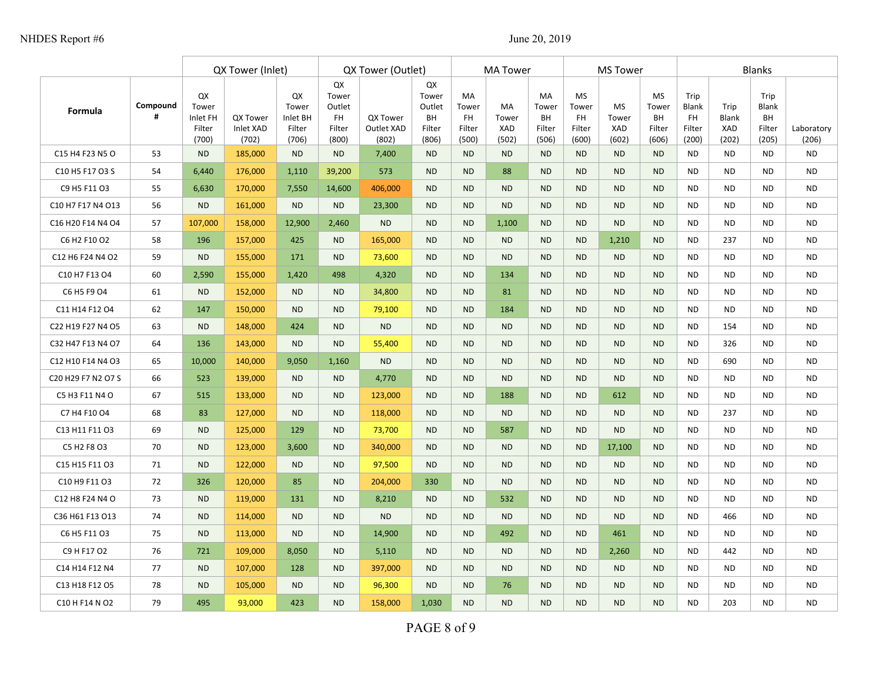|                    |               | QX Tower (Inlet)                           |                                |                                            | QX Tower (Outlet)                                     |                                 |                                                       |                                                    | <b>MA Tower</b>                    |                                      | <b>MS Tower</b>                              |                                    |                                                    | <b>Blanks</b>                                 |                               |                                        |                     |
|--------------------|---------------|--------------------------------------------|--------------------------------|--------------------------------------------|-------------------------------------------------------|---------------------------------|-------------------------------------------------------|----------------------------------------------------|------------------------------------|--------------------------------------|----------------------------------------------|------------------------------------|----------------------------------------------------|-----------------------------------------------|-------------------------------|----------------------------------------|---------------------|
| <b>Formula</b>     | Compound<br># | QX<br>Tower<br>Inlet FH<br>Filter<br>(700) | QX Tower<br>Inlet XAD<br>(702) | QX<br>Tower<br>Inlet BH<br>Filter<br>(706) | QX<br>Tower<br>Outlet<br><b>FH</b><br>Filter<br>(800) | QX Tower<br>Outlet XAD<br>(802) | QX<br>Tower<br>Outlet<br><b>BH</b><br>Filter<br>(806) | <b>MA</b><br>Tower<br><b>FH</b><br>Filter<br>(500) | <b>MA</b><br>Tower<br>XAD<br>(502) | MA<br>Tower<br>BH<br>Filter<br>(506) | <b>MS</b><br>Tower<br>FH.<br>Filter<br>(600) | <b>MS</b><br>Tower<br>XAD<br>(602) | <b>MS</b><br>Tower<br><b>BH</b><br>Filter<br>(606) | Trip<br>Blank<br><b>FH</b><br>Filter<br>(200) | Trip<br>Blank<br>XAD<br>(202) | Trip<br>Blank<br>BH<br>Filter<br>(205) | Laboratory<br>(206) |
| C15 H4 F23 N5 O    | 53            | <b>ND</b>                                  | 185,000                        | <b>ND</b>                                  | <b>ND</b>                                             | 7,400                           | <b>ND</b>                                             | <b>ND</b>                                          | <b>ND</b>                          | <b>ND</b>                            | <b>ND</b>                                    | <b>ND</b>                          | <b>ND</b>                                          | <b>ND</b>                                     | <b>ND</b>                     | <b>ND</b>                              | <b>ND</b>           |
| C10 H5 F17 O3 S    | 54            | 6,440                                      | 176,000                        | 1,110                                      | 39,200                                                | 573                             | <b>ND</b>                                             | <b>ND</b>                                          | 88                                 | <b>ND</b>                            | <b>ND</b>                                    | <b>ND</b>                          | <b>ND</b>                                          | <b>ND</b>                                     | <b>ND</b>                     | <b>ND</b>                              | <b>ND</b>           |
| C9 H5 F11 O3       | 55            | 6,630                                      | 170,000                        | 7,550                                      | 14,600                                                | 406,000                         | <b>ND</b>                                             | <b>ND</b>                                          | <b>ND</b>                          | <b>ND</b>                            | <b>ND</b>                                    | <b>ND</b>                          | <b>ND</b>                                          | <b>ND</b>                                     | <b>ND</b>                     | <b>ND</b>                              | <b>ND</b>           |
| C10 H7 F17 N4 O13  | 56            | <b>ND</b>                                  | 161,000                        | <b>ND</b>                                  | <b>ND</b>                                             | 23,300                          | <b>ND</b>                                             | <b>ND</b>                                          | <b>ND</b>                          | <b>ND</b>                            | <b>ND</b>                                    | <b>ND</b>                          | <b>ND</b>                                          | <b>ND</b>                                     | <b>ND</b>                     | <b>ND</b>                              | <b>ND</b>           |
| C16 H20 F14 N4 O4  | 57            | 107,000                                    | 158,000                        | 12,900                                     | 2,460                                                 | <b>ND</b>                       | <b>ND</b>                                             | <b>ND</b>                                          | 1,100                              | <b>ND</b>                            | <b>ND</b>                                    | <b>ND</b>                          | <b>ND</b>                                          | <b>ND</b>                                     | <b>ND</b>                     | <b>ND</b>                              | <b>ND</b>           |
| C6 H2 F10 O2       | 58            | 196                                        | 157,000                        | 425                                        | <b>ND</b>                                             | 165,000                         | <b>ND</b>                                             | <b>ND</b>                                          | <b>ND</b>                          | <b>ND</b>                            | <b>ND</b>                                    | 1,210                              | <b>ND</b>                                          | <b>ND</b>                                     | 237                           | <b>ND</b>                              | <b>ND</b>           |
| C12 H6 F24 N4 O2   | 59            | <b>ND</b>                                  | 155,000                        | 171                                        | <b>ND</b>                                             | 73,600                          | <b>ND</b>                                             | <b>ND</b>                                          | <b>ND</b>                          | <b>ND</b>                            | <b>ND</b>                                    | <b>ND</b>                          | <b>ND</b>                                          | <b>ND</b>                                     | <b>ND</b>                     | <b>ND</b>                              | <b>ND</b>           |
| C10 H7 F13 O4      | 60            | 2,590                                      | 155,000                        | 1,420                                      | 498                                                   | 4,320                           | <b>ND</b>                                             | <b>ND</b>                                          | 134                                | <b>ND</b>                            | <b>ND</b>                                    | <b>ND</b>                          | <b>ND</b>                                          | <b>ND</b>                                     | <b>ND</b>                     | <b>ND</b>                              | <b>ND</b>           |
| C6 H5 F9 O4        | 61            | <b>ND</b>                                  | 152,000                        | <b>ND</b>                                  | <b>ND</b>                                             | 34,800                          | <b>ND</b>                                             | <b>ND</b>                                          | 81                                 | <b>ND</b>                            | <b>ND</b>                                    | <b>ND</b>                          | <b>ND</b>                                          | <b>ND</b>                                     | <b>ND</b>                     | <b>ND</b>                              | <b>ND</b>           |
| C11 H14 F12 O4     | 62            | 147                                        | 150,000                        | <b>ND</b>                                  | <b>ND</b>                                             | 79,100                          | <b>ND</b>                                             | <b>ND</b>                                          | 184                                | <b>ND</b>                            | <b>ND</b>                                    | <b>ND</b>                          | <b>ND</b>                                          | <b>ND</b>                                     | <b>ND</b>                     | <b>ND</b>                              | <b>ND</b>           |
| C22 H19 F27 N4 O5  | 63            | <b>ND</b>                                  | 148,000                        | 424                                        | <b>ND</b>                                             | <b>ND</b>                       | <b>ND</b>                                             | <b>ND</b>                                          | <b>ND</b>                          | <b>ND</b>                            | <b>ND</b>                                    | <b>ND</b>                          | <b>ND</b>                                          | <b>ND</b>                                     | 154                           | <b>ND</b>                              | <b>ND</b>           |
| C32 H47 F13 N4 O7  | 64            | 136                                        | 143,000                        | <b>ND</b>                                  | <b>ND</b>                                             | 55,400                          | <b>ND</b>                                             | <b>ND</b>                                          | <b>ND</b>                          | <b>ND</b>                            | <b>ND</b>                                    | <b>ND</b>                          | <b>ND</b>                                          | <b>ND</b>                                     | 326                           | <b>ND</b>                              | <b>ND</b>           |
| C12 H10 F14 N4 O3  | 65            | 10,000                                     | 140,000                        | 9,050                                      | 1,160                                                 | <b>ND</b>                       | <b>ND</b>                                             | <b>ND</b>                                          | <b>ND</b>                          | <b>ND</b>                            | <b>ND</b>                                    | <b>ND</b>                          | <b>ND</b>                                          | <b>ND</b>                                     | 690                           | <b>ND</b>                              | <b>ND</b>           |
| C20 H29 F7 N2 O7 S | 66            | 523                                        | 139,000                        | <b>ND</b>                                  | <b>ND</b>                                             | 4,770                           | <b>ND</b>                                             | <b>ND</b>                                          | <b>ND</b>                          | <b>ND</b>                            | <b>ND</b>                                    | <b>ND</b>                          | <b>ND</b>                                          | <b>ND</b>                                     | <b>ND</b>                     | <b>ND</b>                              | <b>ND</b>           |
| C5 H3 F11 N4 O     | 67            | 515                                        | 133,000                        | <b>ND</b>                                  | <b>ND</b>                                             | 123,000                         | <b>ND</b>                                             | <b>ND</b>                                          | 188                                | <b>ND</b>                            | <b>ND</b>                                    | 612                                | <b>ND</b>                                          | <b>ND</b>                                     | <b>ND</b>                     | <b>ND</b>                              | <b>ND</b>           |
| C7 H4 F10 O4       | 68            | 83                                         | 127,000                        | <b>ND</b>                                  | <b>ND</b>                                             | 118,000                         | <b>ND</b>                                             | <b>ND</b>                                          | <b>ND</b>                          | <b>ND</b>                            | <b>ND</b>                                    | <b>ND</b>                          | <b>ND</b>                                          | <b>ND</b>                                     | 237                           | <b>ND</b>                              | <b>ND</b>           |
| C13 H11 F11 O3     | 69            | <b>ND</b>                                  | 125,000                        | 129                                        | <b>ND</b>                                             | 73,700                          | <b>ND</b>                                             | <b>ND</b>                                          | 587                                | <b>ND</b>                            | <b>ND</b>                                    | <b>ND</b>                          | <b>ND</b>                                          | <b>ND</b>                                     | <b>ND</b>                     | <b>ND</b>                              | <b>ND</b>           |
| C5 H2 F8 O3        | 70            | <b>ND</b>                                  | 123,000                        | 3,600                                      | <b>ND</b>                                             | 340,000                         | <b>ND</b>                                             | <b>ND</b>                                          | <b>ND</b>                          | <b>ND</b>                            | <b>ND</b>                                    | 17,100                             | <b>ND</b>                                          | <b>ND</b>                                     | <b>ND</b>                     | <b>ND</b>                              | <b>ND</b>           |
| C15 H15 F11 O3     | 71            | <b>ND</b>                                  | 122,000                        | <b>ND</b>                                  | <b>ND</b>                                             | 97,500                          | <b>ND</b>                                             | <b>ND</b>                                          | <b>ND</b>                          | <b>ND</b>                            | <b>ND</b>                                    | <b>ND</b>                          | <b>ND</b>                                          | <b>ND</b>                                     | <b>ND</b>                     | <b>ND</b>                              | <b>ND</b>           |
| C10 H9 F11 O3      | 72            | 326                                        | 120,000                        | 85                                         | <b>ND</b>                                             | 204,000                         | 330                                                   | <b>ND</b>                                          | <b>ND</b>                          | <b>ND</b>                            | <b>ND</b>                                    | <b>ND</b>                          | <b>ND</b>                                          | <b>ND</b>                                     | <b>ND</b>                     | <b>ND</b>                              | <b>ND</b>           |
| C12 H8 F24 N4 O    | 73            | <b>ND</b>                                  | 119,000                        | 131                                        | <b>ND</b>                                             | 8,210                           | <b>ND</b>                                             | <b>ND</b>                                          | 532                                | <b>ND</b>                            | <b>ND</b>                                    | <b>ND</b>                          | <b>ND</b>                                          | <b>ND</b>                                     | <b>ND</b>                     | <b>ND</b>                              | <b>ND</b>           |
| C36 H61 F13 O13    | 74            | <b>ND</b>                                  | 114,000                        | <b>ND</b>                                  | <b>ND</b>                                             | <b>ND</b>                       | <b>ND</b>                                             | <b>ND</b>                                          | <b>ND</b>                          | <b>ND</b>                            | <b>ND</b>                                    | <b>ND</b>                          | <b>ND</b>                                          | <b>ND</b>                                     | 466                           | <b>ND</b>                              | <b>ND</b>           |
| C6 H5 F11 O3       | 75            | <b>ND</b>                                  | 113,000                        | <b>ND</b>                                  | <b>ND</b>                                             | 14,900                          | <b>ND</b>                                             | <b>ND</b>                                          | 492                                | <b>ND</b>                            | <b>ND</b>                                    | 461                                | <b>ND</b>                                          | <b>ND</b>                                     | <b>ND</b>                     | <b>ND</b>                              | <b>ND</b>           |
| C9 H F17 O2        | 76            | 721                                        | 109,000                        | 8,050                                      | <b>ND</b>                                             | 5,110                           | <b>ND</b>                                             | <b>ND</b>                                          | <b>ND</b>                          | <b>ND</b>                            | <b>ND</b>                                    | 2,260                              | <b>ND</b>                                          | <b>ND</b>                                     | 442                           | <b>ND</b>                              | <b>ND</b>           |
| C14 H14 F12 N4     | 77            | <b>ND</b>                                  | 107,000                        | 128                                        | <b>ND</b>                                             | 397,000                         | <b>ND</b>                                             | <b>ND</b>                                          | <b>ND</b>                          | <b>ND</b>                            | <b>ND</b>                                    | <b>ND</b>                          | <b>ND</b>                                          | <b>ND</b>                                     | <b>ND</b>                     | <b>ND</b>                              | <b>ND</b>           |
| C13 H18 F12 O5     | 78            | <b>ND</b>                                  | 105,000                        | <b>ND</b>                                  | <b>ND</b>                                             | 96,300                          | <b>ND</b>                                             | <b>ND</b>                                          | 76                                 | <b>ND</b>                            | <b>ND</b>                                    | <b>ND</b>                          | <b>ND</b>                                          | <b>ND</b>                                     | <b>ND</b>                     | <b>ND</b>                              | <b>ND</b>           |
| C10 H F14 N O2     | 79            | 495                                        | 93,000                         | 423                                        | <b>ND</b>                                             | 158,000                         | 1,030                                                 | <b>ND</b>                                          | <b>ND</b>                          | <b>ND</b>                            | <b>ND</b>                                    | <b>ND</b>                          | <b>ND</b>                                          | <b>ND</b>                                     | 203                           | <b>ND</b>                              | <b>ND</b>           |

PAGE 8 of 9